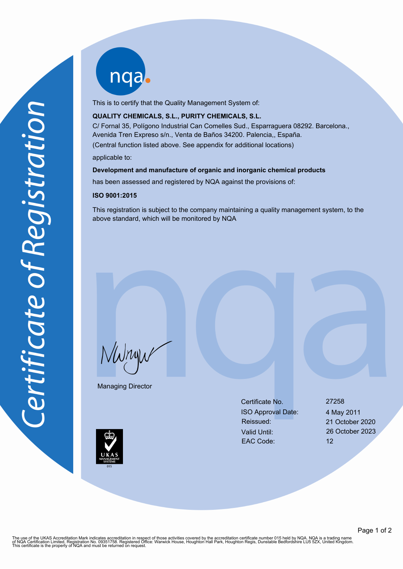nqab

This is to certify that the Quality Management System of:

## **QUALITY CHEMICALS, S.L., PURITY CHEMICALS, S.L.**

C/ Fornal 35, Polígono Industrial Can Comelles Sud., Esparraguera 08292. Barcelona., Avenida Tren Expreso s/n., Venta de Baños 34200. Palencia,, España. (Central function listed above. See appendix for additional locations)

applicable to:

#### **Development and manufacture of organic and inorganic chemical products**

has been assessed and registered by NQA against the provisions of:

#### **ISO 9001:2015**

This registration is subject to the company maintaining a quality management system, to the above standard, which will be monitored by NQA

NWnyw

Managing Director

Certificate No. 27258 ISO Approval Date: 4 May 2011 Reissued: 21 October 2020 Valid Until: 26 October 2023 EAC Code: 12